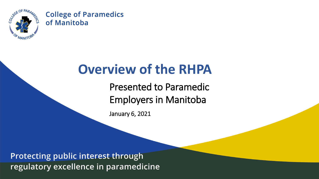

#### **Overview of the RHPA**

Presented to Paramedic Employers in Manitoba

January 6, 2021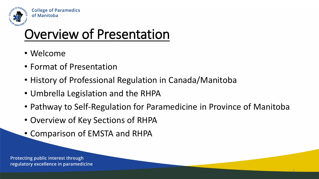

#### Overview of Presentation

- Welcome
- Format of Presentation
- History of Professional Regulation in Canada/Manitoba
- Umbrella Legislation and the RHPA
- Pathway to Self-Regulation for Paramedicine in Province of Manitoba

2

- Overview of Key Sections of RHPA
- Comparison of EMSTA and RHPA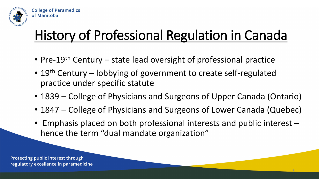

# History of Professional Regulation in Canada

- Pre-19<sup>th</sup> Century state lead oversight of professional practice
- 19<sup>th</sup> Century lobbying of government to create self-regulated practice under specific statute
- 1839 College of Physicians and Surgeons of Upper Canada (Ontario)
- 1847 College of Physicians and Surgeons of Lower Canada (Quebec)
- Emphasis placed on both professional interests and public interest hence the term "dual mandate organization"

3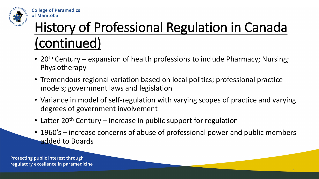

# History of Professional Regulation in Canada (continued)

- 20<sup>th</sup> Century expansion of health professions to include Pharmacy; Nursing; Physiotherapy
- Tremendous regional variation based on local politics; professional practice models; government laws and legislation
- Variance in model of self-regulation with varying scopes of practice and varying degrees of government involvement
- Latter 20<sup>th</sup> Century increase in public support for regulation
- 1960's increase concerns of abuse of professional power and public members added to Boards

4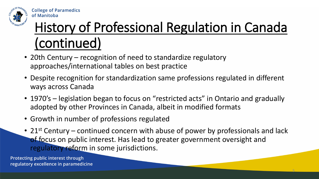

# History of Professional Regulation in Canada (continued)

- 20th Century recognition of need to standardize regulatory approaches/international tables on best practice
- Despite recognition for standardization same professions regulated in different ways across Canada
- 1970's legislation began to focus on "restricted acts" in Ontario and gradually adopted by other Provinces in Canada, albeit in modified formats
- Growth in number of professions regulated
- 21<sup>st</sup> Century continued concern with abuse of power by professionals and lack of focus on public interest. Has lead to greater government oversight and regulatory reform in some jurisdictions.

5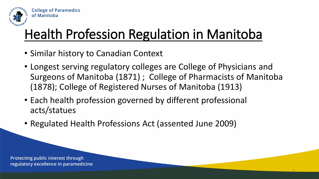

## Health Profession Regulation in Manitoba

- Similar history to Canadian Context
- Longest serving regulatory colleges are College of Physicians and Surgeons of Manitoba (1871) ; College of Pharmacists of Manitoba (1878); College of Registered Nurses of Manitoba (1913)

6

- Each health profession governed by different professional acts/statues
- Regulated Health Professions Act (assented June 2009)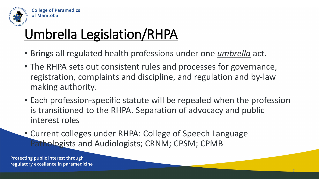

# Umbrella Legislation/RHPA

- Brings all regulated health professions under one *umbrella* act.
- The RHPA sets out consistent rules and processes for governance, registration, complaints and discipline, and regulation and by-law making authority.
- Each profession-specific statute will be repealed when the profession is transitioned to the RHPA. Separation of advocacy and public interest roles

7

• Current colleges under RHPA: College of Speech Language Pathologists and Audiologists; CRNM; CPSM; CPMB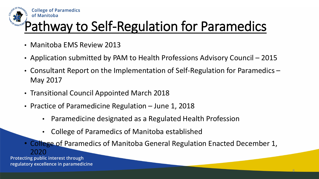

## Pathway to Self-Regulation for Paramedics

- Manitoba EMS Review 2013
- Application submitted by PAM to Health Professions Advisory Council 2015
- Consultant Report on the Implementation of Self-Regulation for Paramedics May 2017
- Transitional Council Appointed March 2018
- Practice of Paramedicine Regulation June 1, 2018
	- Paramedicine designated as a Regulated Health Profession
	- College of Paramedics of Manitoba established
	- College of Paramedics of Manitoba General Regulation Enacted December 1,

8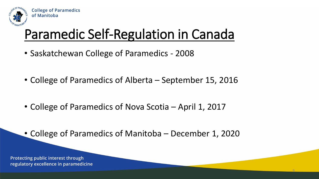

## Paramedic Self-Regulation in Canada

- Saskatchewan College of Paramedics 2008
- College of Paramedics of Alberta September 15, 2016
- College of Paramedics of Nova Scotia April 1, 2017
- College of Paramedics of Manitoba December 1, 2020

9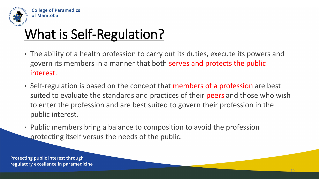

## What is Self-Regulation?

- The ability of a health profession to carry out its duties, execute its powers and govern its members in a manner that both serves and protects the public interest.
- Self-regulation is based on the concept that members of a profession are best suited to evaluate the standards and practices of their peers and those who wish to enter the profession and are best suited to govern their profession in the public interest.

10

• Public members bring a balance to composition to avoid the profession protecting itself versus the needs of the public.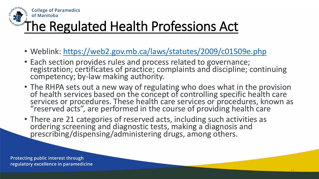

#### The Regulated Health Professions Act

- Weblink:<https://web2.gov.mb.ca/laws/statutes/2009/c01509e.php>
- Each section provides rules and process related to governance; registration; certificates of practice; complaints and discipline; continuing competency; by-law making authority.
- The RHPA sets out a new way of regulating who does what in the provision of health services based on the concept of controlling specific health care services or procedures. These health care services or procedures, known as "reserved acts", are performed in the course of providing health care

11

• There are 21 categories of reserved acts, including such activities as ordering screening and diagnostic tests, making a diagnosis and prescribing/dispensing/administering drugs, among others.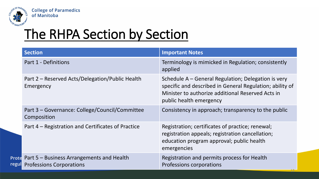

Prot regu **College of Paramedics** of Manitoba

#### The RHPA Section by Section

| <b>Section</b>                                                                      | <b>Important Notes</b>                                                                                                                                                                          |
|-------------------------------------------------------------------------------------|-------------------------------------------------------------------------------------------------------------------------------------------------------------------------------------------------|
| Part 1 - Definitions                                                                | Terminology is mimicked in Regulation; consistently<br>applied                                                                                                                                  |
| Part 2 – Reserved Acts/Delegation/Public Health<br>Emergency                        | Schedule A – General Regulation; Delegation is very<br>specific and described in General Regulation; ability of<br>Minister to authorize additional Reserved Acts in<br>public health emergency |
| Part 3 – Governance: College/Council/Committee<br>Composition                       | Consistency in approach; transparency to the public                                                                                                                                             |
| Part 4 – Registration and Certificates of Practice                                  | Registration; certificates of practice; renewal;<br>registration appeals; registration cancellation;<br>education program approval; public health<br>emergencies                                |
| Part 5 – Business Arrangements and Health<br>tel<br><b>Professions Corporations</b> | Registration and permits process for Health<br>Professions corporations                                                                                                                         |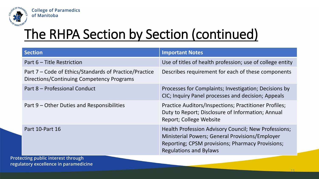

## The RHPA Section by Section (continued)

| <b>Section</b>                                                                                      | <b>Important Notes</b>                                                                                                                                                                       |
|-----------------------------------------------------------------------------------------------------|----------------------------------------------------------------------------------------------------------------------------------------------------------------------------------------------|
| Part 6 – Title Restriction                                                                          | Use of titles of health profession; use of college entity                                                                                                                                    |
| Part 7 – Code of Ethics/Standards of Practice/Practice<br>Directions/Continuing Competency Programs | Describes requirement for each of these components                                                                                                                                           |
| Part 8 - Professional Conduct                                                                       | Processes for Complaints; Investigation; Decisions by<br>CIC; Inquiry Panel processes and decision; Appeals                                                                                  |
| Part 9 – Other Duties and Responsibilities                                                          | Practice Auditors/Inspections; Practitioner Profiles;<br>Duty to Report; Disclosure of Information; Annual<br>Report; College Website                                                        |
| Part 10-Part 16                                                                                     | Health Profession Advisory Council; New Professions;<br>Ministerial Powers; General Provisions/Employer<br>Reporting; CPSM provisions; Pharmacy Provisions;<br><b>Regulations and Bylaws</b> |